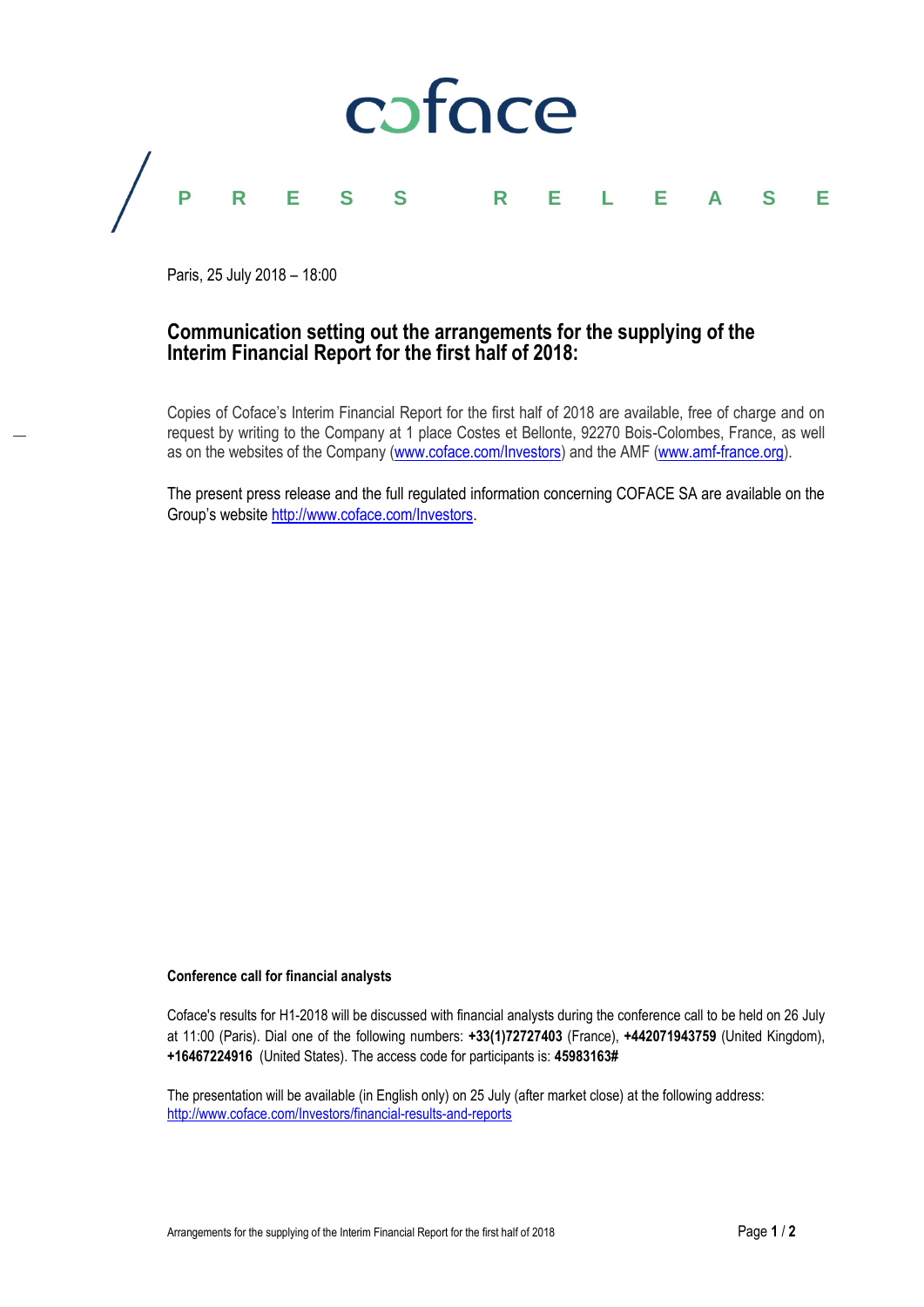

Paris, 25 July 2018 – 18:00

# **Communication setting out the arrangements for the supplying of the Interim Financial Report for the first half of 2018:**

Copies of Coface's Interim Financial Report for the first half of 2018 are available, free of charge and on request by writing to the Company at 1 place Costes et Bellonte, 92270 Bois-Colombes, France, as well as on the websites of the Company [\(www.coface.com/Investors\)](http://www.coface.com/Investors) and the AMF [\(www.amf-france.org\)](http://www.amf-france.org/).

The present press release and the full regulated information concerning COFACE SA are available on the Group's website [http://www.coface.com/Investors.](http://www.coface.com/Investors)

# **Conference call for financial analysts**

Coface's results for H1-2018 will be discussed with financial analysts during the conference call to be held on 26 July at 11:00 (Paris). Dial one of the following numbers: **+33(1)72727403** (France), **+442071943759** (United Kingdom), **+16467224916** (United States). The access code for participants is: **45983163#**

The presentation will be available (in English only) on 25 July (after market close) at the following address: <http://www.coface.com/Investors/financial-results-and-reports>